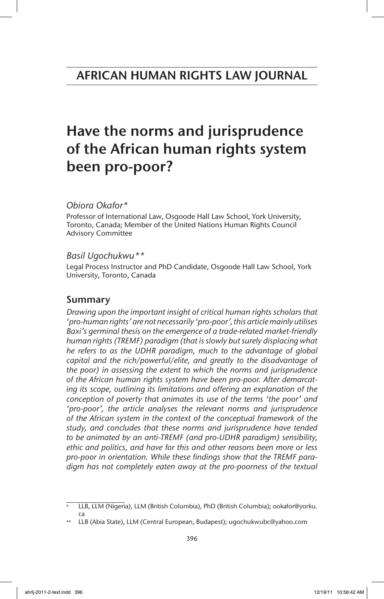# Have the norms and jurisprudence of the African human rights system been pro-poor?

# *Obiora Okafor\**

Professor of International Law, Osgoode Hall Law School, York University, Toronto, Canada; Member of the United Nations Human Rights Council Advisory Committee

## *Basil Ugochukwu\*\**

Legal Process Instructor and PhD Candidate, Osgoode Hall Law School, York University, Toronto, Canada

# Summary

*Drawing upon the important insight of critical human rights scholars that 'pro-human rights' are not necessarily 'pro-poor', this article mainly utilises Baxi's germinal thesis on the emergence of a trade-related market-friendly human rights (TREMF) paradigm (that is slowly but surely displacing what he refers to as the UDHR paradigm, much to the advantage of global capital and the rich/powerful/elite, and greatly to the disadvantage of the poor) in assessing the extent to which the norms and jurisprudence of the African human rights system have been pro-poor. After demarcating its scope, outlining its limitations and offering an explanation of the conception of poverty that animates its use of the terms 'the poor' and 'pro-poor', the article analyses the relevant norms and jurisprudence of the African system in the context of the conceptual framework of the study, and concludes that these norms and jurisprudence have tended to be animated by an anti-TREMF (and pro-UDHR paradigm) sensibility, ethic and politics, and have for this and other reasons been more or less pro-poor in orientation. While these findings show that the TREMF paradigm has not completely eaten away at the pro-poorness of the textual*

<sup>\*</sup> LLB, LLM (Nigeria), LLM (British Columbia), PhD (British Columbia); ookafor@yorku. ca

LLB (Abia State), LLM (Central European, Budapest); ugochukwubc@yahoo.com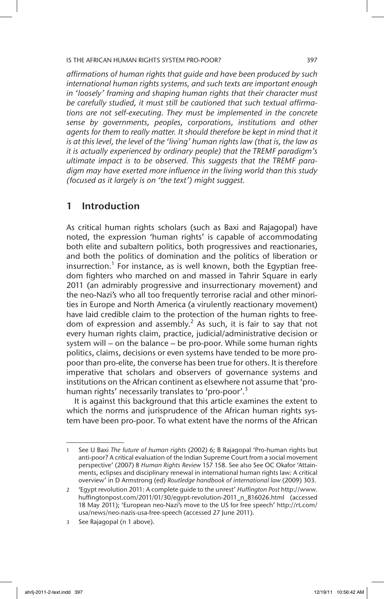*affirmations of human rights that guide and have been produced by such international human rights systems, and such texts are important enough in 'loosely' framing and shaping human rights that their character must be carefully studied, it must still be cautioned that such textual affirmations are not self-executing. They must be implemented in the concrete sense by governments, peoples, corporations, institutions and other*  agents for them to really matter. It should therefore be kept in mind that it *is at this level, the level of the 'living' human rights law (that is, the law as it is actually experienced by ordinary people) that the TREMF paradigm's ultimate impact is to be observed. This suggests that the TREMF paradigm may have exerted more influence in the living world than this study (focused as it largely is on 'the text') might suggest.*

# 1 Introduction

As critical human rights scholars (such as Baxi and Rajagopal) have noted, the expression 'human rights' is capable of accommodating both elite and subaltern politics, both progressives and reactionaries, and both the politics of domination and the politics of liberation or insurrection.<sup>1</sup> For instance, as is well known, both the Egyptian freedom fighters who marched on and massed in Tahrir Square in early 2011 (an admirably progressive and insurrectionary movement) and the neo-Nazi's who all too frequently terrorise racial and other minorities in Europe and North America (a virulently reactionary movement) have laid credible claim to the protection of the human rights to freedom of expression and assembly.<sup>2</sup> As such, it is fair to say that not every human rights claim, practice, judicial/administrative decision or system will – on the balance – be pro-poor. While some human rights politics, claims, decisions or even systems have tended to be more propoor than pro-elite, the converse has been true for others. It is therefore imperative that scholars and observers of governance systems and institutions on the African continent as elsewhere not assume that 'prohuman rights' necessarily translates to 'pro-poor'.<sup>3</sup>

It is against this background that this article examines the extent to which the norms and jurisprudence of the African human rights system have been pro-poor. To what extent have the norms of the African

<sup>1</sup> See U Baxi *The future of human rights* (2002) 6; B Rajagopal 'Pro-human rights but anti-poor? A critical evaluation of the Indian Supreme Court from a social movement perspective' (2007) 8 *Human Rights Review* 157 158. See also See OC Okafor 'Attainments, eclipses and disciplinary renewal in international human rights law: A critical overview' in D Armstrong (ed) *Routledge handbook of international law* (2009) 303.

<sup>2</sup> 'Egypt revolution 2011: A complete guide to the unrest' *Huffington Post* http://www. huffingtonpost.com/2011/01/30/egypt-revolution-2011\_n\_816026.html (accessed 18 May 2011); 'European neo-Nazi's move to the US for free speech' http://rt.com/ usa/news/neo-nazis-usa-free-speech (accessed 27 June 2011).

<sup>3</sup> See Rajagopal (n 1 above).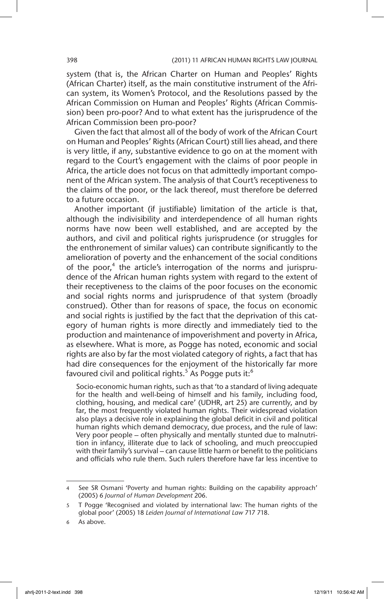system (that is, the African Charter on Human and Peoples' Rights (African Charter) itself, as the main constitutive instrument of the African system, its Women's Protocol, and the Resolutions passed by the African Commission on Human and Peoples' Rights (African Commission) been pro-poor? And to what extent has the jurisprudence of the African Commission been pro-poor?

Given the fact that almost all of the body of work of the African Court on Human and Peoples' Rights (African Court) still lies ahead, and there is very little, if any, substantive evidence to go on at the moment with regard to the Court's engagement with the claims of poor people in Africa, the article does not focus on that admittedly important component of the African system. The analysis of that Court's receptiveness to the claims of the poor, or the lack thereof, must therefore be deferred to a future occasion.

Another important (if justifiable) limitation of the article is that, although the indivisibility and interdependence of all human rights norms have now been well established, and are accepted by the authors, and civil and political rights jurisprudence (or struggles for the enthronement of similar values) can contribute significantly to the amelioration of poverty and the enhancement of the social conditions of the poor,<sup>4</sup> the article's interrogation of the norms and jurisprudence of the African human rights system with regard to the extent of their receptiveness to the claims of the poor focuses on the economic and social rights norms and jurisprudence of that system (broadly construed). Other than for reasons of space, the focus on economic and social rights is justified by the fact that the deprivation of this category of human rights is more directly and immediately tied to the production and maintenance of impoverishment and poverty in Africa, as elsewhere. What is more, as Pogge has noted, economic and social rights are also by far the most violated category of rights, a fact that has had dire consequences for the enjoyment of the historically far more favoured civil and political rights.<sup>5</sup> As Pogge puts it:<sup>6</sup>

Socio-economic human rights, such as that 'to a standard of living adequate for the health and well-being of himself and his family, including food, clothing, housing, and medical care' (UDHR, art 25) are currently, and by far, the most frequently violated human rights. Their widespread violation also plays a decisive role in explaining the global deficit in civil and political human rights which demand democracy, due process, and the rule of law: Very poor people – often physically and mentally stunted due to malnutrition in infancy, illiterate due to lack of schooling, and much preoccupied with their family's survival – can cause little harm or benefit to the politicians and officials who rule them. Such rulers therefore have far less incentive to

See SR Osmani 'Poverty and human rights: Building on the capability approach' (2005) 6 *Journal of Human Development* 206.

<sup>5</sup> T Pogge 'Recognised and violated by international law: The human rights of the global poor' (2005) 18 *Leiden Journal of International Law* 717 718.

<sup>6</sup> As above.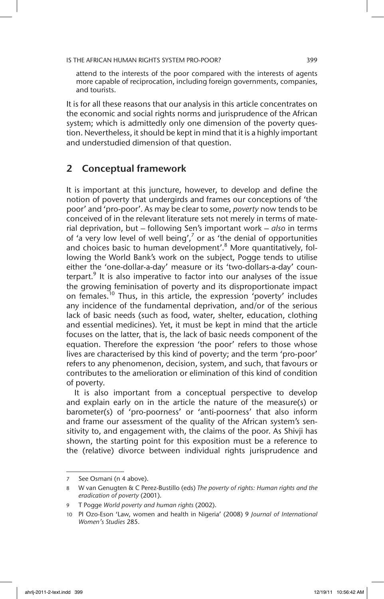attend to the interests of the poor compared with the interests of agents more capable of reciprocation, including foreign governments, companies, and tourists.

It is for all these reasons that our analysis in this article concentrates on the economic and social rights norms and jurisprudence of the African system; which is admittedly only one dimension of the poverty question. Nevertheless, it should be kept in mind that it is a highly important and understudied dimension of that question.

# 2 Conceptual framework

It is important at this juncture, however, to develop and define the notion of poverty that undergirds and frames our conceptions of 'the poor' and 'pro-poor'. As may be clear to some, *poverty* now tends to be conceived of in the relevant literature sets not merely in terms of material deprivation, but – following Sen's important work – *also* in terms of 'a very low level of well being',  $\frac{7}{7}$  or as 'the denial of opportunities and choices basic to human development'.<sup>8</sup> More quantitatively, following the World Bank's work on the subject, Pogge tends to utilise either the 'one-dollar-a-day' measure or its 'two-dollars-a-day' counterpart.<sup>9</sup> It is also imperative to factor into our analyses of the issue the growing feminisation of poverty and its disproportionate impact on females.<sup>10</sup> Thus, in this article, the expression 'poverty' includes any incidence of the fundamental deprivation, and/or of the serious lack of basic needs (such as food, water, shelter, education, clothing and essential medicines). Yet, it must be kept in mind that the article focuses on the latter, that is, the lack of basic needs component of the equation. Therefore the expression 'the poor' refers to those whose lives are characterised by this kind of poverty; and the term 'pro-poor' refers to any phenomenon, decision, system, and such, that favours or contributes to the amelioration or elimination of this kind of condition of poverty.

It is also important from a conceptual perspective to develop and explain early on in the article the nature of the measure(s) or barometer(s) of 'pro-poorness' or 'anti-poorness' that also inform and frame our assessment of the quality of the African system's sensitivity to, and engagement with, the claims of the poor. As Shivji has shown, the starting point for this exposition must be a reference to the (relative) divorce between individual rights jurisprudence and

<sup>7</sup> See Osmani (n 4 above).

<sup>8</sup> W van Genugten & C Perez-Bustillo (eds) *The poverty of rights: Human rights and the eradication of poverty* (2001).

<sup>9</sup> T Pogge *World poverty and human rights* (2002).

<sup>10</sup> PI Ozo-Eson 'Law, women and health in Nigeria' (2008) 9 *Journal of International Women's Studies* 285.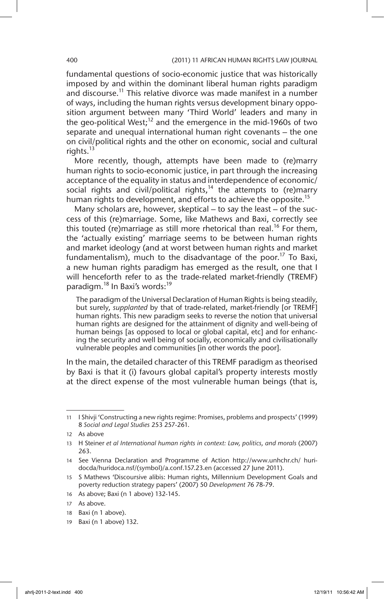fundamental questions of socio-economic justice that was historically imposed by and within the dominant liberal human rights paradigm and discourse.<sup>11</sup> This relative divorce was made manifest in a number of ways, including the human rights versus development binary opposition argument between many 'Third World' leaders and many in the geo-political West;<sup>12</sup> and the emergence in the mid-1960s of two separate and unequal international human right covenants – the one on civil/political rights and the other on economic, social and cultural rights. $^{13}$ 

More recently, though, attempts have been made to (re)marry human rights to socio-economic justice, in part through the increasing acceptance of the equality in status and interdependence of economic/ social rights and civil/political rights,<sup>14</sup> the attempts to (re)marry human rights to development, and efforts to achieve the opposite.<sup>15</sup>

Many scholars are, however, skeptical – to say the least – of the success of this (re)marriage. Some, like Mathews and Baxi, correctly see this touted (re)marriage as still more rhetorical than real.<sup>16</sup> For them, the 'actually existing' marriage seems to be between human rights and market ideology (and at worst between human rights and market fundamentalism), much to the disadvantage of the poor.<sup>17</sup> To Baxi, a new human rights paradigm has emerged as the result, one that I will henceforth refer to as the trade-related market-friendly (TREMF) paradigm.<sup>18</sup> In Baxi's words:<sup>19</sup>

The paradigm of the Universal Declaration of Human Rights is being steadily, but surely, *supplanted* by that of trade-related, market-friendly [or TREMF] human rights. This new paradigm seeks to reverse the notion that universal human rights are designed for the attainment of dignity and well-being of human beings [as opposed to local or global capital, etc] and for enhancing the security and well being of socially, economically and civilisationally vulnerable peoples and communities [in other words the poor].

In the main, the detailed character of this TREMF paradigm as theorised by Baxi is that it (i) favours global capital's property interests mostly at the direct expense of the most vulnerable human beings (that is,

<sup>11</sup> I Shivji 'Constructing a new rights regime: Promises, problems and prospects' (1999) 8 *Social and Legal Studies* 253 257-261.

<sup>12</sup> As above

<sup>13</sup> H Steiner *et al International human rights in context: Law, politics, and morals* (2007) 263.

<sup>14</sup> See Vienna Declaration and Programme of Action http://www.unhchr.ch/ huridocda/huridoca.nsf/(symbol)/a.conf.157.23.en (accessed 27 June 2011).

<sup>15</sup> S Mathews 'Discoursive alibis: Human rights, Millennium Development Goals and poverty reduction strategy papers' (2007) 50 *Development* 76 78-79.

<sup>16</sup> As above; Baxi (n 1 above) 132-145.

<sup>17</sup> As above.

<sup>18</sup> Baxi (n 1 above).

<sup>19</sup> Baxi (n 1 above) 132.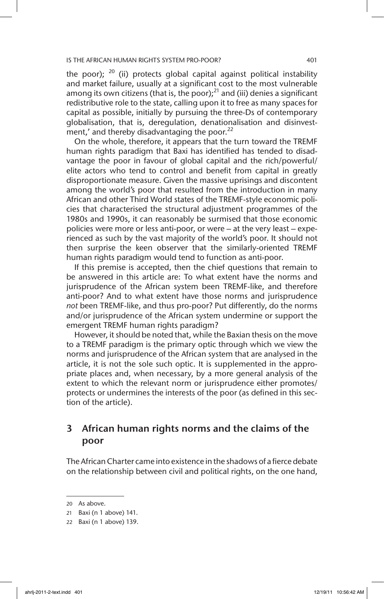the poor);  $20$  (ii) protects global capital against political instability and market failure, usually at a significant cost to the most vulnerable among its own citizens (that is, the poor); $^{21}$  and (iii) denies a significant redistributive role to the state, calling upon it to free as many spaces for capital as possible, initially by pursuing the three-Ds of contemporary globalisation, that is, deregulation, denationalisation and disinvestment,' and thereby disadvantaging the poor.<sup>22</sup>

On the whole, therefore, it appears that the turn toward the TREMF human rights paradigm that Baxi has identified has tended to disadvantage the poor in favour of global capital and the rich/powerful/ elite actors who tend to control and benefit from capital in greatly disproportionate measure. Given the massive uprisings and discontent among the world's poor that resulted from the introduction in many African and other Third World states of the TREMF-style economic policies that characterised the structural adjustment programmes of the 1980s and 1990s, it can reasonably be surmised that those economic policies were more or less anti-poor, or were – at the very least – experienced as such by the vast majority of the world's poor. It should not then surprise the keen observer that the similarly-oriented TREMF human rights paradigm would tend to function as anti-poor.

If this premise is accepted, then the chief questions that remain to be answered in this article are: To what extent have the norms and jurisprudence of the African system been TREMF-like, and therefore anti-poor? And to what extent have those norms and jurisprudence *not* been TREMF-like, and thus pro-poor? Put differently, do the norms and/or jurisprudence of the African system undermine or support the emergent TREMF human rights paradigm?

However, it should be noted that, while the Baxian thesis on the move to a TREMF paradigm is the primary optic through which we view the norms and jurisprudence of the African system that are analysed in the article, it is not the sole such optic. It is supplemented in the appropriate places and, when necessary, by a more general analysis of the extent to which the relevant norm or jurisprudence either promotes/ protects or undermines the interests of the poor (as defined in this section of the article).

# 3 African human rights norms and the claims of the poor

The African Charter came into existence in the shadows of a fierce debate on the relationship between civil and political rights, on the one hand,

<sup>20</sup> As above.

<sup>21</sup> Baxi (n 1 above) 141.

<sup>22</sup> Baxi (n 1 above) 139.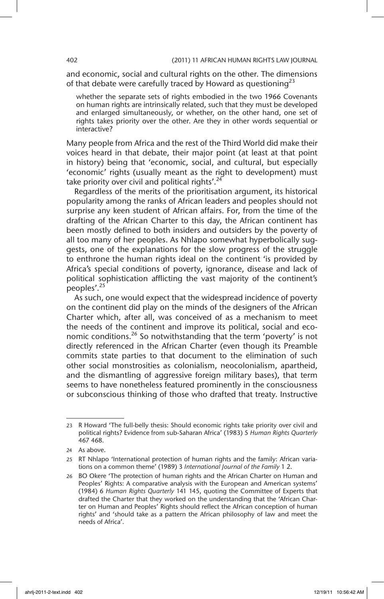and economic, social and cultural rights on the other. The dimensions of that debate were carefully traced by Howard as questioning<sup>23</sup>

whether the separate sets of rights embodied in the two 1966 Covenants on human rights are intrinsically related, such that they must be developed and enlarged simultaneously, or whether, on the other hand, one set of rights takes priority over the other. Are they in other words sequential or interactive?

Many people from Africa and the rest of the Third World did make their voices heard in that debate, their major point (at least at that point in history) being that 'economic, social, and cultural, but especially 'economic' rights (usually meant as the right to development) must take priority over civil and political rights'.<sup>24</sup>

Regardless of the merits of the prioritisation argument, its historical popularity among the ranks of African leaders and peoples should not surprise any keen student of African affairs. For, from the time of the drafting of the African Charter to this day, the African continent has been mostly defined to both insiders and outsiders by the poverty of all too many of her peoples. As Nhlapo somewhat hyperbolically suggests, one of the explanations for the slow progress of the struggle to enthrone the human rights ideal on the continent 'is provided by Africa's special conditions of poverty, ignorance, disease and lack of political sophistication afflicting the vast majority of the continent's peoples'.<sup>25</sup>

As such, one would expect that the widespread incidence of poverty on the continent did play on the minds of the designers of the African Charter which, after all, was conceived of as a mechanism to meet the needs of the continent and improve its political, social and economic conditions.<sup>26</sup> So notwithstanding that the term 'poverty' is not directly referenced in the African Charter (even though its Preamble commits state parties to that document to the elimination of such other social monstrosities as colonialism, neocolonialism, apartheid, and the dismantling of aggressive foreign military bases), that term seems to have nonetheless featured prominently in the consciousness or subconscious thinking of those who drafted that treaty. Instructive

<sup>23</sup> R Howard 'The full-belly thesis: Should economic rights take priority over civil and political rights? Evidence from sub-Saharan Africa' (1983) 5 *Human Rights Quarterly* 467 468.

<sup>24</sup> As above.

<sup>25</sup> RT Nhlapo 'International protection of human rights and the family: African variations on a common theme' (1989) 3 *International Journal of the Family* 1 2.

<sup>26</sup> BO Okere 'The protection of human rights and the African Charter on Human and Peoples' Rights: A comparative analysis with the European and American systems' (1984) 6 *Human Rights Quarterly* 141 145, quoting the Committee of Experts that drafted the Charter that they worked on the understanding that the 'African Charter on Human and Peoples' Rights should reflect the African conception of human rights' and 'should take as a pattern the African philosophy of law and meet the needs of Africa'.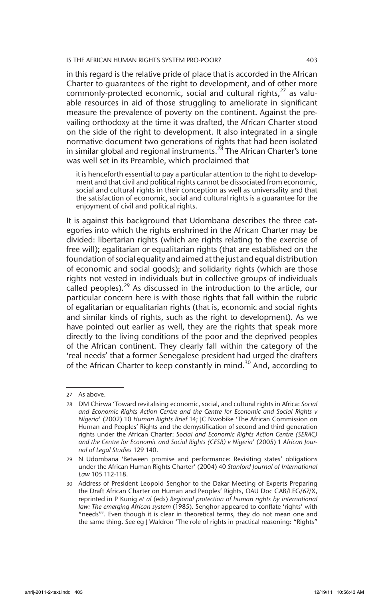in this regard is the relative pride of place that is accorded in the African Charter to guarantees of the right to development, and of other more commonly-protected economic, social and cultural rights, $^{27}$  as valuable resources in aid of those struggling to ameliorate in significant measure the prevalence of poverty on the continent. Against the prevailing orthodoxy at the time it was drafted, the African Charter stood on the side of the right to development. It also integrated in a single normative document two generations of rights that had been isolated in similar global and regional instruments.<sup>28</sup> The African Charter's tone was well set in its Preamble, which proclaimed that

it is henceforth essential to pay a particular attention to the right to development and that civil and political rights cannot be dissociated from economic, social and cultural rights in their conception as well as universality and that the satisfaction of economic, social and cultural rights is a guarantee for the enjoyment of civil and political rights.

It is against this background that Udombana describes the three categories into which the rights enshrined in the African Charter may be divided: libertarian rights (which are rights relating to the exercise of free will); egalitarian or equalitarian rights (that are established on the foundation of social equality and aimed at the just and equal distribution of economic and social goods); and solidarity rights (which are those rights not vested in individuals but in collective groups of individuals called peoples).<sup>29</sup> As discussed in the introduction to the article, our particular concern here is with those rights that fall within the rubric of egalitarian or equalitarian rights (that is, economic and social rights and similar kinds of rights, such as the right to development). As we have pointed out earlier as well, they are the rights that speak more directly to the living conditions of the poor and the deprived peoples of the African continent. They clearly fall within the category of the 'real needs' that a former Senegalese president had urged the drafters of the African Charter to keep constantly in mind.<sup>30</sup> And, according to

<sup>27</sup> As above.

<sup>28</sup> DM Chirwa 'Toward revitalising economic, social, and cultural rights in Africa: *Social and Economic Rights Action Centre and the Centre for Economic and Social Rights v Nigeria*' (2002) 10 *Human Rights Brief* 14; JC Nwobike 'The African Commission on Human and Peoples' Rights and the demystification of second and third generation rights under the African Charter: *Social and Economic Rights Action Centre (SERAC) and the Centre for Economic and Social Rights (CESR) v Nigeria*' (2005) 1 *African Journal of Legal Studies* 129 140.

<sup>29</sup> N Udombana 'Between promise and performance: Revisiting states' obligations under the African Human Rights Charter' (2004) 40 *Stanford Journal of International Law* 105 112-118.

<sup>30</sup> Address of President Leopold Senghor to the Dakar Meeting of Experts Preparing the Draft African Charter on Human and Peoples' Rights, OAU Doc CAB/LEG/67/X, reprinted in P Kunig *et al* (eds) *Regional protection of human rights by international law: The emerging African system* (1985). Senghor appeared to conflate 'rights' with "needs"'. Even though it is clear in theoretical terms, they do not mean one and the same thing. See eg J Waldron 'The role of rights in practical reasoning: "Rights"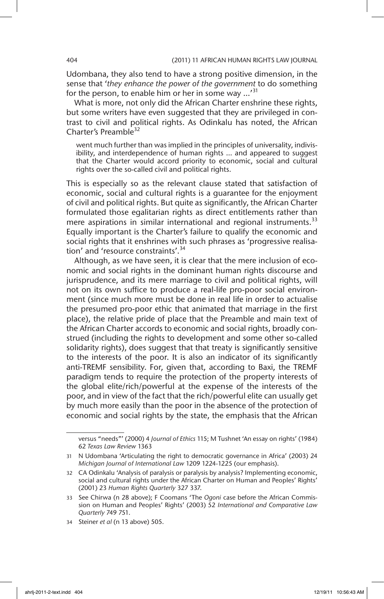Udombana, they also tend to have a strong positive dimension, in the sense that '*they enhance the power of the government* to do something for the person, to enable him or her in some way  $\cdots$ <sup>31</sup>

What is more, not only did the African Charter enshrine these rights, but some writers have even suggested that they are privileged in contrast to civil and political rights. As Odinkalu has noted, the African Charter's Preamble<sup>32</sup>

went much further than was implied in the principles of universality, indivisibility, and interdependence of human rights … and appeared to suggest that the Charter would accord priority to economic, social and cultural rights over the so-called civil and political rights.

This is especially so as the relevant clause stated that satisfaction of economic, social and cultural rights is a guarantee for the enjoyment of civil and political rights. But quite as significantly, the African Charter formulated those egalitarian rights as direct entitlements rather than mere aspirations in similar international and regional instruments. $33$ Equally important is the Charter's failure to qualify the economic and social rights that it enshrines with such phrases as 'progressive realisation' and 'resource constraints'.<sup>34</sup>

Although, as we have seen, it is clear that the mere inclusion of economic and social rights in the dominant human rights discourse and jurisprudence, and its mere marriage to civil and political rights, will not on its own suffice to produce a real-life pro-poor social environment (since much more must be done in real life in order to actualise the presumed pro-poor ethic that animated that marriage in the first place), the relative pride of place that the Preamble and main text of the African Charter accords to economic and social rights, broadly construed (including the rights to development and some other so-called solidarity rights), does suggest that that treaty is significantly sensitive to the interests of the poor. It is also an indicator of its significantly anti-TREMF sensibility. For, given that, according to Baxi, the TREMF paradigm tends to require the protection of the property interests of the global elite/rich/powerful at the expense of the interests of the poor, and in view of the fact that the rich/powerful elite can usually get by much more easily than the poor in the absence of the protection of economic and social rights by the state, the emphasis that the African

versus "needs"' (2000) 4 *Journal of Ethics* 115; M Tushnet 'An essay on rights' (1984) 62 *Texas Law Review* 1363

<sup>31</sup> N Udombana 'Articulating the right to democratic governance in Africa' (2003) 24 *Michigan Journal of International Law* 1209 1224-1225 (our emphasis).

<sup>32</sup> CA Odinkalu 'Analysis of paralysis or paralysis by analysis? Implementing economic, social and cultural rights under the African Charter on Human and Peoples' Rights' (2001) 23 *Human Rights Quarterly* 327 337.

<sup>33</sup> See Chirwa (n 28 above); F Coomans 'The *Ogoni* case before the African Commission on Human and Peoples' Rights' (2003) 52 *International and Comparative Law Quarterly* 749 751.

<sup>34</sup> Steiner *et al* (n 13 above) 505.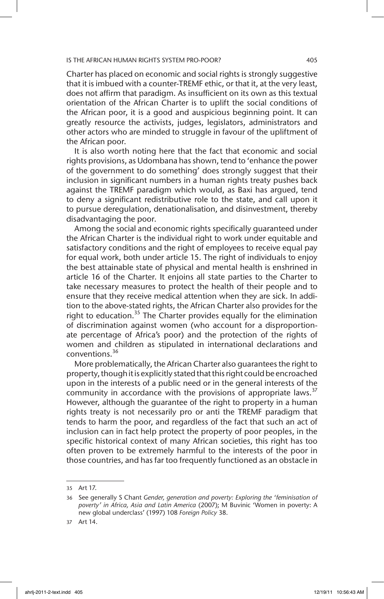Charter has placed on economic and social rights is strongly suggestive that it is imbued with a counter-TREMF ethic, or that it, at the very least, does not affirm that paradigm. As insufficient on its own as this textual orientation of the African Charter is to uplift the social conditions of the African poor, it is a good and auspicious beginning point. It can greatly resource the activists, judges, legislators, administrators and other actors who are minded to struggle in favour of the upliftment of the African poor.

It is also worth noting here that the fact that economic and social rights provisions, as Udombana has shown, tend to 'enhance the power of the government to do something' does strongly suggest that their inclusion in significant numbers in a human rights treaty pushes back against the TREMF paradigm which would, as Baxi has argued, tend to deny a significant redistributive role to the state, and call upon it to pursue deregulation, denationalisation, and disinvestment, thereby disadvantaging the poor.

Among the social and economic rights specifically guaranteed under the African Charter is the individual right to work under equitable and satisfactory conditions and the right of employees to receive equal pay for equal work, both under article 15. The right of individuals to enjoy the best attainable state of physical and mental health is enshrined in article 16 of the Charter. It enjoins all state parties to the Charter to take necessary measures to protect the health of their people and to ensure that they receive medical attention when they are sick. In addition to the above-stated rights, the African Charter also provides for the right to education.<sup>35</sup> The Charter provides equally for the elimination of discrimination against women (who account for a disproportionate percentage of Africa's poor) and the protection of the rights of women and children as stipulated in international declarations and conventions.<sup>36</sup>

More problematically, the African Charter also guarantees the right to property, though it is explicitly stated that this right could be encroached upon in the interests of a public need or in the general interests of the community in accordance with the provisions of appropriate laws. $37$ However, although the guarantee of the right to property in a human rights treaty is not necessarily pro or anti the TREMF paradigm that tends to harm the poor, and regardless of the fact that such an act of inclusion can in fact help protect the property of poor peoples, in the specific historical context of many African societies, this right has too often proven to be extremely harmful to the interests of the poor in those countries, and has far too frequently functioned as an obstacle in

<sup>35</sup> Art 17.

<sup>36</sup> See generally S Chant *Gender, generation and poverty: Exploring the 'feminisation of poverty' in Africa, Asia and Latin America* (2007); M Buvinic 'Women in poverty: A new global underclass' (1997) 108 *Foreign Policy* 38.

<sup>37</sup> Art 14.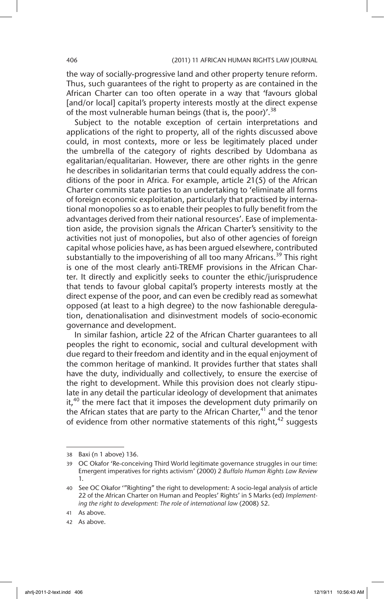the way of socially-progressive land and other property tenure reform. Thus, such guarantees of the right to property as are contained in the African Charter can too often operate in a way that 'favours global [and/or local] capital's property interests mostly at the direct expense of the most vulnerable human beings (that is, the poor)'.<sup>38</sup>

Subject to the notable exception of certain interpretations and applications of the right to property, all of the rights discussed above could, in most contexts, more or less be legitimately placed under the umbrella of the category of rights described by Udombana as egalitarian/equalitarian. However, there are other rights in the genre he describes in solidaritarian terms that could equally address the conditions of the poor in Africa. For example, article 21(5) of the African Charter commits state parties to an undertaking to 'eliminate all forms of foreign economic exploitation, particularly that practised by international monopolies so as to enable their peoples to fully benefit from the advantages derived from their national resources'. Ease of implementation aside, the provision signals the African Charter's sensitivity to the activities not just of monopolies, but also of other agencies of foreign capital whose policies have, as has been argued elsewhere, contributed substantially to the impoverishing of all too many Africans.<sup>39</sup> This right is one of the most clearly anti-TREMF provisions in the African Charter. It directly and explicitly seeks to counter the ethic/jurisprudence that tends to favour global capital's property interests mostly at the direct expense of the poor, and can even be credibly read as somewhat opposed (at least to a high degree) to the now fashionable deregulation, denationalisation and disinvestment models of socio-economic governance and development.

In similar fashion, article 22 of the African Charter guarantees to all peoples the right to economic, social and cultural development with due regard to their freedom and identity and in the equal enjoyment of the common heritage of mankind. It provides further that states shall have the duty, individually and collectively, to ensure the exercise of the right to development. While this provision does not clearly stipulate in any detail the particular ideology of development that animates it,<sup>40</sup> the mere fact that it imposes the development duty primarily on the African states that are party to the African Charter, $41$  and the tenor of evidence from other normative statements of this right, $42$  suggests

<sup>38</sup> Baxi (n 1 above) 136.

<sup>39</sup> OC Okafor 'Re-conceiving Third World legitimate governance struggles in our time: Emergent imperatives for rights activism' (2000) 2 *Buffalo Human Rights Law Review*  1.

<sup>40</sup> See OC Okafor '"Righting" the right to development: A socio-legal analysis of article 22 of the African Charter on Human and Peoples' Rights' in S Marks (ed) *Implementing the right to development: The role of international law* (2008) 52.

<sup>41</sup> As above.

<sup>42</sup> As above.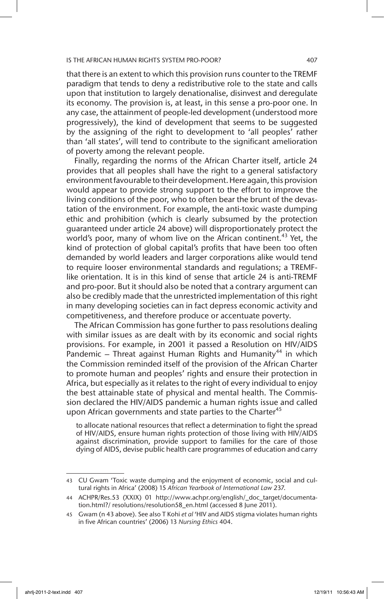that there is an extent to which this provision runs counter to the TREMF paradigm that tends to deny a redistributive role to the state and calls upon that institution to largely denationalise, disinvest and deregulate its economy. The provision is, at least, in this sense a pro-poor one. In any case, the attainment of people-led development (understood more progressively), the kind of development that seems to be suggested by the assigning of the right to development to 'all peoples' rather than 'all states', will tend to contribute to the significant amelioration of poverty among the relevant people.

Finally, regarding the norms of the African Charter itself, article 24 provides that all peoples shall have the right to a general satisfactory environment favourable to their development. Here again, this provision would appear to provide strong support to the effort to improve the living conditions of the poor, who to often bear the brunt of the devastation of the environment. For example, the anti-toxic waste dumping ethic and prohibition (which is clearly subsumed by the protection guaranteed under article 24 above) will disproportionately protect the world's poor, many of whom live on the African continent.<sup>43</sup> Yet, the kind of protection of global capital's profits that have been too often demanded by world leaders and larger corporations alike would tend to require looser environmental standards and regulations; a TREMFlike orientation. It is in this kind of sense that article 24 is anti-TREMF and pro-poor. But it should also be noted that a contrary argument can also be credibly made that the unrestricted implementation of this right in many developing societies can in fact depress economic activity and competitiveness, and therefore produce or accentuate poverty.

The African Commission has gone further to pass resolutions dealing with similar issues as are dealt with by its economic and social rights provisions. For example, in 2001 it passed a Resolution on HIV/AIDS Pandemic – Threat against Human Rights and Humanity<sup>44</sup> in which the Commission reminded itself of the provision of the African Charter to promote human and peoples' rights and ensure their protection in Africa, but especially as it relates to the right of every individual to enjoy the best attainable state of physical and mental health. The Commission declared the HIV/AIDS pandemic a human rights issue and called upon African governments and state parties to the Charter<sup>45</sup>

to allocate national resources that reflect a determination to fight the spread of HIV/AIDS, ensure human rights protection of those living with HIV/AIDS against discrimination, provide support to families for the care of those dying of AIDS, devise public health care programmes of education and carry

<sup>43</sup> CU Gwam 'Toxic waste dumping and the enjoyment of economic, social and cultural rights in Africa' (2008) 15 *African Yearbook of International Law* 237.

<sup>44</sup> ACHPR/Res.53 (XXIX) 01 http://www.achpr.org/english/\_doc\_target/documentation.html?/ resolutions/resolution58\_en.html (accessed 8 June 2011).

<sup>45</sup> Gwam (n 43 above). See also T Kohi *et al* 'HIV and AIDS stigma violates human rights in five African countries' (2006) 13 *Nursing Ethics* 404.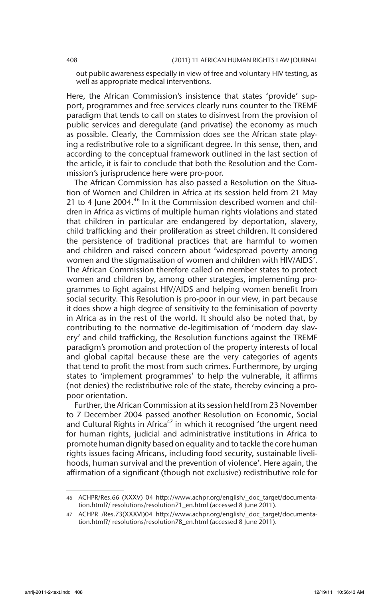out public awareness especially in view of free and voluntary HIV testing, as well as appropriate medical interventions.

Here, the African Commission's insistence that states 'provide' support, programmes and free services clearly runs counter to the TREMF paradigm that tends to call on states to disinvest from the provision of public services and deregulate (and privatise) the economy as much as possible. Clearly, the Commission does see the African state playing a redistributive role to a significant degree. In this sense, then, and according to the conceptual framework outlined in the last section of the article, it is fair to conclude that both the Resolution and the Commission's jurisprudence here were pro-poor.

The African Commission has also passed a Resolution on the Situation of Women and Children in Africa at its session held from 21 May 21 to 4 June 2004.<sup>46</sup> In it the Commission described women and children in Africa as victims of multiple human rights violations and stated that children in particular are endangered by deportation, slavery, child trafficking and their proliferation as street children. It considered the persistence of traditional practices that are harmful to women and children and raised concern about 'widespread poverty among women and the stigmatisation of women and children with HIV/AIDS'. The African Commission therefore called on member states to protect women and children by, among other strategies, implementing programmes to fight against HIV/AIDS and helping women benefit from social security. This Resolution is pro-poor in our view, in part because it does show a high degree of sensitivity to the feminisation of poverty in Africa as in the rest of the world. It should also be noted that, by contributing to the normative de-legitimisation of 'modern day slavery' and child trafficking, the Resolution functions against the TREMF paradigm's promotion and protection of the property interests of local and global capital because these are the very categories of agents that tend to profit the most from such crimes. Furthermore, by urging states to 'implement programmes' to help the vulnerable, it affirms (not denies) the redistributive role of the state, thereby evincing a propoor orientation.

Further, the African Commission at its session held from 23 November to 7 December 2004 passed another Resolution on Economic, Social and Cultural Rights in Africa<sup>47</sup> in which it recognised 'the urgent need for human rights, judicial and administrative institutions in Africa to promote human dignity based on equality and to tackle the core human rights issues facing Africans, including food security, sustainable livelihoods, human survival and the prevention of violence'. Here again, the affirmation of a significant (though not exclusive) redistributive role for

<sup>46</sup> ACHPR/Res.66 (XXXV) 04 http://www.achpr.org/english/\_doc\_target/documentation.html?/ resolutions/resolution71\_en.html (accessed 8 June 2011).

<sup>47</sup> ACHPR /Res.73(XXXVI)04 http://www.achpr.org/english/\_doc\_target/documentation.html?/ resolutions/resolution78\_en.html (accessed 8 June 2011).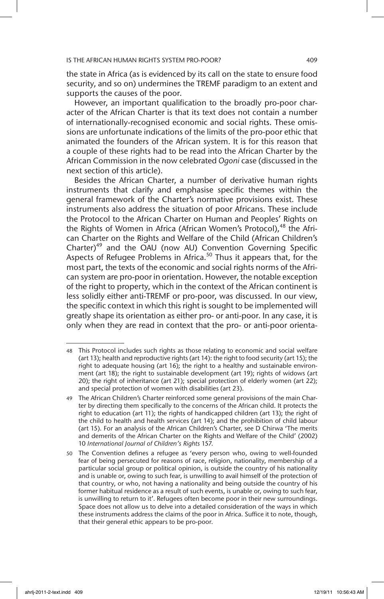the state in Africa (as is evidenced by its call on the state to ensure food security, and so on) undermines the TREMF paradigm to an extent and supports the causes of the poor.

However, an important qualification to the broadly pro-poor character of the African Charter is that its text does not contain a number of internationally-recognised economic and social rights. These omissions are unfortunate indications of the limits of the pro-poor ethic that animated the founders of the African system. It is for this reason that a couple of these rights had to be read into the African Charter by the African Commission in the now celebrated *Ogoni* case (discussed in the next section of this article).

Besides the African Charter, a number of derivative human rights instruments that clarify and emphasise specific themes within the general framework of the Charter's normative provisions exist. These instruments also address the situation of poor Africans. These include the Protocol to the African Charter on Human and Peoples' Rights on the Rights of Women in Africa (African Women's Protocol),<sup>48</sup> the African Charter on the Rights and Welfare of the Child (African Children's Charter)<sup>49</sup> and the OAU (now AU) Convention Governing Specific Aspects of Refugee Problems in Africa.<sup>50</sup> Thus it appears that, for the most part, the texts of the economic and social rights norms of the African system are pro-poor in orientation. However, the notable exception of the right to property, which in the context of the African continent is less solidly either anti-TREMF or pro-poor, was discussed. In our view, the specific context in which this right is sought to be implemented will greatly shape its orientation as either pro- or anti-poor. In any case, it is only when they are read in context that the pro- or anti-poor orienta-

<sup>48</sup> This Protocol includes such rights as those relating to economic and social welfare (art 13); health and reproductive rights (art 14): the right to food security (art 15); the right to adequate housing (art 16); the right to a healthy and sustainable environment (art 18); the right to sustainable development (art 19); rights of widows (art 20); the right of inheritance (art 21); special protection of elderly women (art 22); and special protection of women with disabilities (art 23).

<sup>49</sup> The African Children's Charter reinforced some general provisions of the main Charter by directing them specifically to the concerns of the African child. It protects the right to education (art 11); the rights of handicapped children (art 13); the right of the child to health and health services (art 14); and the prohibition of child labour (art 15). For an analysis of the African Children's Charter, see D Chirwa 'The merits and demerits of the African Charter on the Rights and Welfare of the Child' (2002) 10 *International Journal of Children's Rights* 157.

<sup>50</sup> The Convention defines a refugee as 'every person who, owing to well-founded fear of being persecuted for reasons of race, religion, nationality, membership of a particular social group or political opinion, is outside the country of his nationality and is unable or, owing to such fear, is unwilling to avail himself of the protection of that country, or who, not having a nationality and being outside the country of his former habitual residence as a result of such events, is unable or, owing to such fear, is unwilling to return to it'. Refugees often become poor in their new surroundings. Space does not allow us to delve into a detailed consideration of the ways in which these instruments address the claims of the poor in Africa. Suffice it to note, though, that their general ethic appears to be pro-poor.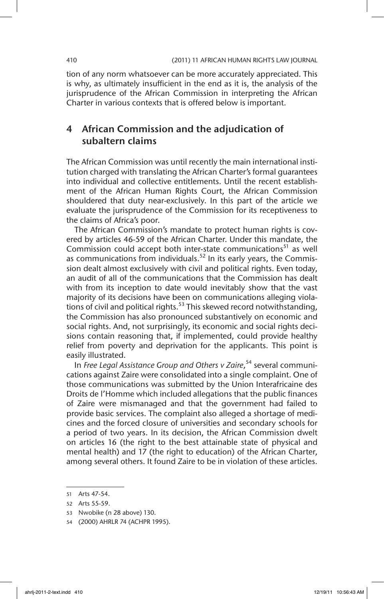tion of any norm whatsoever can be more accurately appreciated. This is why, as ultimately insufficient in the end as it is, the analysis of the jurisprudence of the African Commission in interpreting the African Charter in various contexts that is offered below is important.

# 4 African Commission and the adjudication of subaltern claims

The African Commission was until recently the main international institution charged with translating the African Charter's formal guarantees into individual and collective entitlements. Until the recent establishment of the African Human Rights Court, the African Commission shouldered that duty near-exclusively. In this part of the article we evaluate the jurisprudence of the Commission for its receptiveness to the claims of Africa's poor.

The African Commission's mandate to protect human rights is covered by articles 46-59 of the African Charter. Under this mandate, the Commission could accept both inter-state communications<sup>51</sup> as well as communications from individuals.<sup>52</sup> In its early years, the Commission dealt almost exclusively with civil and political rights. Even today, an audit of all of the communications that the Commission has dealt with from its inception to date would inevitably show that the vast majority of its decisions have been on communications alleging violations of civil and political rights.<sup>53</sup> This skewed record notwithstanding, the Commission has also pronounced substantively on economic and social rights. And, not surprisingly, its economic and social rights decisions contain reasoning that, if implemented, could provide healthy relief from poverty and deprivation for the applicants. This point is easily illustrated.

In *Free Legal Assistance Group and Others v Zaire*, 54 several communications against Zaire were consolidated into a single complaint. One of those communications was submitted by the Union Interafricaine des Droits de l'Homme which included allegations that the public finances of Zaire were mismanaged and that the government had failed to provide basic services. The complaint also alleged a shortage of medicines and the forced closure of universities and secondary schools for a period of two years. In its decision, the African Commission dwelt on articles 16 (the right to the best attainable state of physical and mental health) and 17 (the right to education) of the African Charter, among several others. It found Zaire to be in violation of these articles.

<sup>51</sup> Arts 47-54.

<sup>52</sup> Arts 55-59.

<sup>53</sup> Nwobike (n 28 above) 130.

<sup>54</sup> (2000) AHRLR 74 (ACHPR 1995).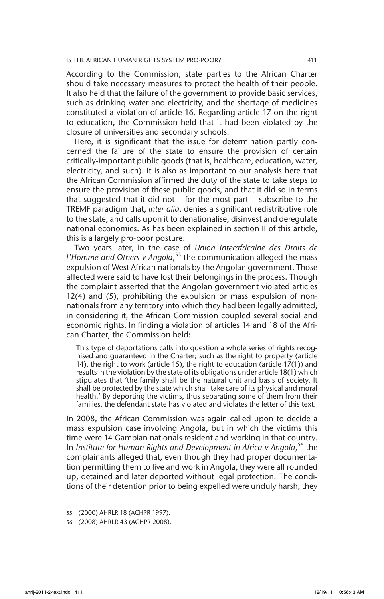According to the Commission, state parties to the African Charter should take necessary measures to protect the health of their people. It also held that the failure of the government to provide basic services, such as drinking water and electricity, and the shortage of medicines constituted a violation of article 16. Regarding article 17 on the right to education, the Commission held that it had been violated by the closure of universities and secondary schools.

Here, it is significant that the issue for determination partly concerned the failure of the state to ensure the provision of certain critically-important public goods (that is, healthcare, education, water, electricity, and such). It is also as important to our analysis here that the African Commission affirmed the duty of the state to take steps to ensure the provision of these public goods, and that it did so in terms that suggested that it did not – for the most part – subscribe to the TREMF paradigm that, *inter alia*, denies a significant redistributive role to the state, and calls upon it to denationalise, disinvest and deregulate national economies. As has been explained in section II of this article, this is a largely pro-poor posture.

Two years later, in the case of *Union Interafricaine des Droits de l'Homme and Others v Angola*, 55 the communication alleged the mass expulsion of West African nationals by the Angolan government. Those affected were said to have lost their belongings in the process. Though the complaint asserted that the Angolan government violated articles 12(4) and (5), prohibiting the expulsion or mass expulsion of nonnationals from any territory into which they had been legally admitted, in considering it, the African Commission coupled several social and economic rights. In finding a violation of articles 14 and 18 of the African Charter, the Commission held:

This type of deportations calls into question a whole series of rights recognised and guaranteed in the Charter; such as the right to property (article 14), the right to work (article 15), the right to education (article 17(1)) and results in the violation by the state of its obligations under article 18(1) which stipulates that 'the family shall be the natural unit and basis of society. It shall be protected by the state which shall take care of its physical and moral health.' By deporting the victims, thus separating some of them from their families, the defendant state has violated and violates the letter of this text.

In 2008, the African Commission was again called upon to decide a mass expulsion case involving Angola, but in which the victims this time were 14 Gambian nationals resident and working in that country. In *Institute for Human Rights and Development in Africa v Angola*, 56 the complainants alleged that, even though they had proper documentation permitting them to live and work in Angola, they were all rounded up, detained and later deported without legal protection. The conditions of their detention prior to being expelled were unduly harsh, they

<sup>55</sup> (2000) AHRLR 18 (ACHPR 1997).

<sup>56</sup> (2008) AHRLR 43 (ACHPR 2008).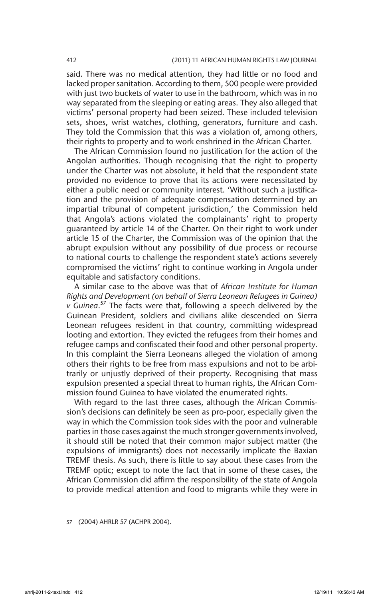said. There was no medical attention, they had little or no food and lacked proper sanitation. According to them, 500 people were provided with just two buckets of water to use in the bathroom, which was in no way separated from the sleeping or eating areas. They also alleged that victims' personal property had been seized. These included television sets, shoes, wrist watches, clothing, generators, furniture and cash. They told the Commission that this was a violation of, among others, their rights to property and to work enshrined in the African Charter.

The African Commission found no justification for the action of the Angolan authorities. Though recognising that the right to property under the Charter was not absolute, it held that the respondent state provided no evidence to prove that its actions were necessitated by either a public need or community interest. 'Without such a justification and the provision of adequate compensation determined by an impartial tribunal of competent jurisdiction,' the Commission held that Angola's actions violated the complainants' right to property guaranteed by article 14 of the Charter. On their right to work under article 15 of the Charter, the Commission was of the opinion that the abrupt expulsion without any possibility of due process or recourse to national courts to challenge the respondent state's actions severely compromised the victims' right to continue working in Angola under equitable and satisfactory conditions.

A similar case to the above was that of *African Institute for Human Rights and Development (on behalf of Sierra Leonean Refugees in Guinea) v Guinea*. 57 The facts were that, following a speech delivered by the Guinean President, soldiers and civilians alike descended on Sierra Leonean refugees resident in that country, committing widespread looting and extortion. They evicted the refugees from their homes and refugee camps and confiscated their food and other personal property. In this complaint the Sierra Leoneans alleged the violation of among others their rights to be free from mass expulsions and not to be arbitrarily or unjustly deprived of their property. Recognising that mass expulsion presented a special threat to human rights, the African Commission found Guinea to have violated the enumerated rights.

With regard to the last three cases, although the African Commission's decisions can definitely be seen as pro-poor, especially given the way in which the Commission took sides with the poor and vulnerable parties in those cases against the much stronger governments involved, it should still be noted that their common major subject matter (the expulsions of immigrants) does not necessarily implicate the Baxian TREMF thesis. As such, there is little to say about these cases from the TREMF optic; except to note the fact that in some of these cases, the African Commission did affirm the responsibility of the state of Angola to provide medical attention and food to migrants while they were in

<sup>57</sup> (2004) AHRLR 57 (ACHPR 2004).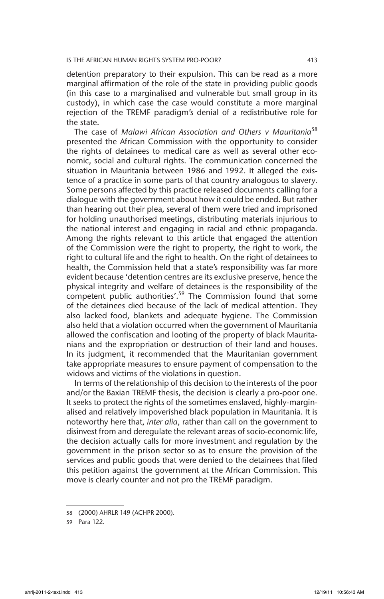detention preparatory to their expulsion. This can be read as a more marginal affirmation of the role of the state in providing public goods (in this case to a marginalised and vulnerable but small group in its custody), in which case the case would constitute a more marginal rejection of the TREMF paradigm's denial of a redistributive role for the state.

The case of *Malawi African Association and Others v Mauritania*<sup>58</sup> presented the African Commission with the opportunity to consider the rights of detainees to medical care as well as several other economic, social and cultural rights. The communication concerned the situation in Mauritania between 1986 and 1992. It alleged the existence of a practice in some parts of that country analogous to slavery. Some persons affected by this practice released documents calling for a dialogue with the government about how it could be ended. But rather than hearing out their plea, several of them were tried and imprisoned for holding unauthorised meetings, distributing materials injurious to the national interest and engaging in racial and ethnic propaganda. Among the rights relevant to this article that engaged the attention of the Commission were the right to property, the right to work, the right to cultural life and the right to health. On the right of detainees to health, the Commission held that a state's responsibility was far more evident because 'detention centres are its exclusive preserve, hence the physical integrity and welfare of detainees is the responsibility of the competent public authorities'.<sup>59</sup> The Commission found that some of the detainees died because of the lack of medical attention. They also lacked food, blankets and adequate hygiene. The Commission also held that a violation occurred when the government of Mauritania allowed the confiscation and looting of the property of black Mauritanians and the expropriation or destruction of their land and houses. In its judgment, it recommended that the Mauritanian government take appropriate measures to ensure payment of compensation to the widows and victims of the violations in question.

In terms of the relationship of this decision to the interests of the poor and/or the Baxian TREMF thesis, the decision is clearly a pro-poor one. It seeks to protect the rights of the sometimes enslaved, highly-marginalised and relatively impoverished black population in Mauritania. It is noteworthy here that, *inter alia*, rather than call on the government to disinvest from and deregulate the relevant areas of socio-economic life, the decision actually calls for more investment and regulation by the government in the prison sector so as to ensure the provision of the services and public goods that were denied to the detainees that filed this petition against the government at the African Commission. This move is clearly counter and not pro the TREMF paradigm.

<sup>58</sup> (2000) AHRLR 149 (ACHPR 2000).

<sup>59</sup> Para 122.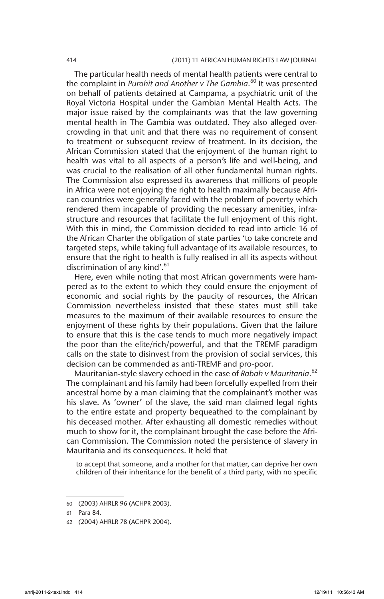#### 414 (2011) 11 AFRICAN HUMAN RIGHTS LAW JOURNAL

The particular health needs of mental health patients were central to the complaint in *Purohit and Another v The Gambia*. 60 It was presented on behalf of patients detained at Campama, a psychiatric unit of the Royal Victoria Hospital under the Gambian Mental Health Acts. The major issue raised by the complainants was that the law governing mental health in The Gambia was outdated. They also alleged overcrowding in that unit and that there was no requirement of consent to treatment or subsequent review of treatment. In its decision, the African Commission stated that the enjoyment of the human right to health was vital to all aspects of a person's life and well-being, and was crucial to the realisation of all other fundamental human rights. The Commission also expressed its awareness that millions of people in Africa were not enjoying the right to health maximally because African countries were generally faced with the problem of poverty which rendered them incapable of providing the necessary amenities, infrastructure and resources that facilitate the full enjoyment of this right. With this in mind, the Commission decided to read into article 16 of the African Charter the obligation of state parties 'to take concrete and targeted steps, while taking full advantage of its available resources, to ensure that the right to health is fully realised in all its aspects without discrimination of any kind'.<sup>61</sup>

Here, even while noting that most African governments were hampered as to the extent to which they could ensure the enjoyment of economic and social rights by the paucity of resources, the African Commission nevertheless insisted that these states must still take measures to the maximum of their available resources to ensure the enjoyment of these rights by their populations. Given that the failure to ensure that this is the case tends to much more negatively impact the poor than the elite/rich/powerful, and that the TREMF paradigm calls on the state to disinvest from the provision of social services, this decision can be commended as anti-TREMF and pro-poor.

Mauritanian-style slavery echoed in the case of *Rabah v Mauritania*. 62 The complainant and his family had been forcefully expelled from their ancestral home by a man claiming that the complainant's mother was his slave. As 'owner' of the slave, the said man claimed legal rights to the entire estate and property bequeathed to the complainant by his deceased mother. After exhausting all domestic remedies without much to show for it, the complainant brought the case before the African Commission. The Commission noted the persistence of slavery in Mauritania and its consequences. It held that

to accept that someone, and a mother for that matter, can deprive her own children of their inheritance for the benefit of a third party, with no specific

<sup>60</sup> (2003) AHRLR 96 (ACHPR 2003).

<sup>61</sup> Para 84.

<sup>62</sup> (2004) AHRLR 78 (ACHPR 2004).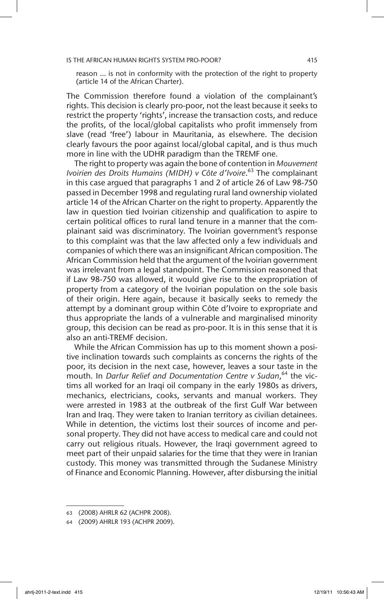reason … is not in conformity with the protection of the right to property (article 14 of the African Charter).

The Commission therefore found a violation of the complainant's rights. This decision is clearly pro-poor, not the least because it seeks to restrict the property 'rights', increase the transaction costs, and reduce the profits, of the local/global capitalists who profit immensely from slave (read 'free') labour in Mauritania, as elsewhere. The decision clearly favours the poor against local/global capital, and is thus much more in line with the UDHR paradigm than the TREMF one.

The right to property was again the bone of contention in *Mouvement Ivoirien des Droits Humains (MIDH) v Côte d'Ivoire*. 63 The complainant in this case argued that paragraphs 1 and 2 of article 26 of Law 98-750 passed in December 1998 and regulating rural land ownership violated article 14 of the African Charter on the right to property. Apparently the law in question tied Ivoirian citizenship and qualification to aspire to certain political offices to rural land tenure in a manner that the complainant said was discriminatory. The Ivoirian government's response to this complaint was that the law affected only a few individuals and companies of which there was an insignificant African composition. The African Commission held that the argument of the Ivoirian government was irrelevant from a legal standpoint. The Commission reasoned that if Law 98-750 was allowed, it would give rise to the expropriation of property from a category of the Ivoirian population on the sole basis of their origin. Here again, because it basically seeks to remedy the attempt by a dominant group within Côte d'Ivoire to expropriate and thus appropriate the lands of a vulnerable and marginalised minority group, this decision can be read as pro-poor. It is in this sense that it is also an anti-TREMF decision.

While the African Commission has up to this moment shown a positive inclination towards such complaints as concerns the rights of the poor, its decision in the next case, however, leaves a sour taste in the mouth. In *Darfur Relief and Documentation Centre v Sudan*, 64 the victims all worked for an Iraqi oil company in the early 1980s as drivers, mechanics, electricians, cooks, servants and manual workers. They were arrested in 1983 at the outbreak of the first Gulf War between Iran and Iraq. They were taken to Iranian territory as civilian detainees. While in detention, the victims lost their sources of income and personal property. They did not have access to medical care and could not carry out religious rituals. However, the Iraqi government agreed to meet part of their unpaid salaries for the time that they were in Iranian custody. This money was transmitted through the Sudanese Ministry of Finance and Economic Planning. However, after disbursing the initial

<sup>63</sup> (2008) AHRLR 62 (ACHPR 2008).

<sup>64</sup> (2009) AHRLR 193 (ACHPR 2009).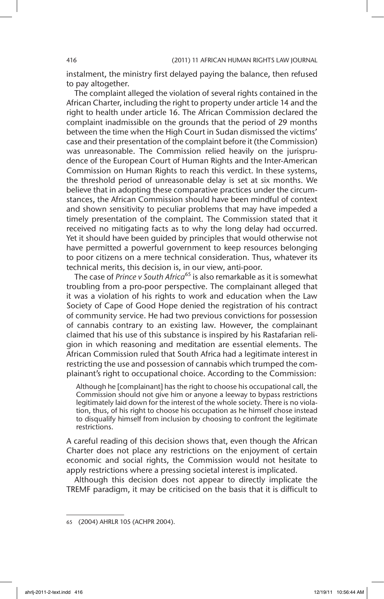instalment, the ministry first delayed paying the balance, then refused to pay altogether.

The complaint alleged the violation of several rights contained in the African Charter, including the right to property under article 14 and the right to health under article 16. The African Commission declared the complaint inadmissible on the grounds that the period of 29 months between the time when the High Court in Sudan dismissed the victims' case and their presentation of the complaint before it (the Commission) was unreasonable. The Commission relied heavily on the jurisprudence of the European Court of Human Rights and the Inter-American Commission on Human Rights to reach this verdict. In these systems, the threshold period of unreasonable delay is set at six months. We believe that in adopting these comparative practices under the circumstances, the African Commission should have been mindful of context and shown sensitivity to peculiar problems that may have impeded a timely presentation of the complaint. The Commission stated that it received no mitigating facts as to why the long delay had occurred. Yet it should have been guided by principles that would otherwise not have permitted a powerful government to keep resources belonging to poor citizens on a mere technical consideration. Thus, whatever its technical merits, this decision is, in our view, anti-poor.

The case of *Prince v South Africa*<sup>65</sup> is also remarkable as it is somewhat troubling from a pro-poor perspective. The complainant alleged that it was a violation of his rights to work and education when the Law Society of Cape of Good Hope denied the registration of his contract of community service. He had two previous convictions for possession of cannabis contrary to an existing law. However, the complainant claimed that his use of this substance is inspired by his Rastafarian religion in which reasoning and meditation are essential elements. The African Commission ruled that South Africa had a legitimate interest in restricting the use and possession of cannabis which trumped the complainant's right to occupational choice. According to the Commission:

Although he [complainant] has the right to choose his occupational call, the Commission should not give him or anyone a leeway to bypass restrictions legitimately laid down for the interest of the whole society. There is no violation, thus, of his right to choose his occupation as he himself chose instead to disqualify himself from inclusion by choosing to confront the legitimate restrictions.

A careful reading of this decision shows that, even though the African Charter does not place any restrictions on the enjoyment of certain economic and social rights, the Commission would not hesitate to apply restrictions where a pressing societal interest is implicated.

Although this decision does not appear to directly implicate the TREMF paradigm, it may be criticised on the basis that it is difficult to

<sup>65</sup> (2004) AHRLR 105 (ACHPR 2004).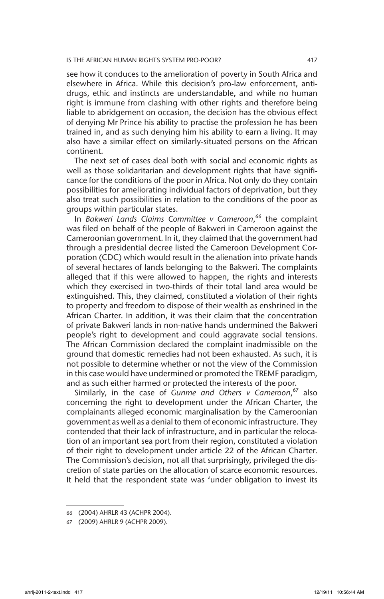see how it conduces to the amelioration of poverty in South Africa and elsewhere in Africa. While this decision's pro-law enforcement, antidrugs, ethic and instincts are understandable, and while no human right is immune from clashing with other rights and therefore being liable to abridgement on occasion, the decision has the obvious effect of denying Mr Prince his ability to practise the profession he has been trained in, and as such denying him his ability to earn a living. It may also have a similar effect on similarly-situated persons on the African continent.

The next set of cases deal both with social and economic rights as well as those solidaritarian and development rights that have significance for the conditions of the poor in Africa. Not only do they contain possibilities for ameliorating individual factors of deprivation, but they also treat such possibilities in relation to the conditions of the poor as groups within particular states.

In *Bakweri Lands Claims Committee v Cameroon*, 66 the complaint was filed on behalf of the people of Bakweri in Cameroon against the Cameroonian government. In it, they claimed that the government had through a presidential decree listed the Cameroon Development Corporation (CDC) which would result in the alienation into private hands of several hectares of lands belonging to the Bakweri. The complaints alleged that if this were allowed to happen, the rights and interests which they exercised in two-thirds of their total land area would be extinguished. This, they claimed, constituted a violation of their rights to property and freedom to dispose of their wealth as enshrined in the African Charter. In addition, it was their claim that the concentration of private Bakweri lands in non-native hands undermined the Bakweri people's right to development and could aggravate social tensions. The African Commission declared the complaint inadmissible on the ground that domestic remedies had not been exhausted. As such, it is not possible to determine whether or not the view of the Commission in this case would have undermined or promoted the TREMF paradigm, and as such either harmed or protected the interests of the poor.

Similarly, in the case of *Gunme and Others v Cameroon*, 67 also concerning the right to development under the African Charter, the complainants alleged economic marginalisation by the Cameroonian government as well as a denial to them of economic infrastructure. They contended that their lack of infrastructure, and in particular the relocation of an important sea port from their region, constituted a violation of their right to development under article 22 of the African Charter. The Commission's decision, not all that surprisingly, privileged the discretion of state parties on the allocation of scarce economic resources. It held that the respondent state was 'under obligation to invest its

<sup>66</sup> (2004) AHRLR 43 (ACHPR 2004).

<sup>67</sup> (2009) AHRLR 9 (ACHPR 2009).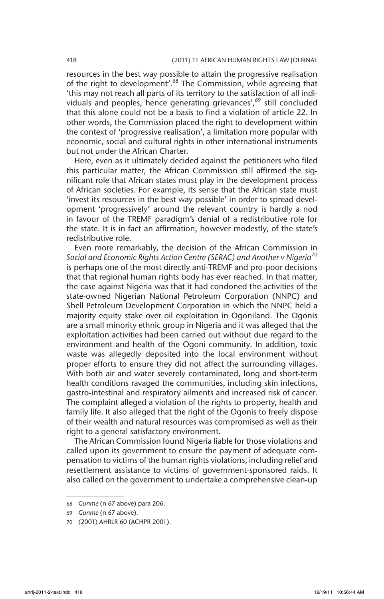resources in the best way possible to attain the progressive realisation of the right to development'.<sup>68</sup> The Commission, while agreeing that 'this may not reach all parts of its territory to the satisfaction of all individuals and peoples, hence generating grievances', $69$  still concluded that this alone could not be a basis to find a violation of article 22. In other words, the Commission placed the right to development within the context of 'progressive realisation', a limitation more popular with economic, social and cultural rights in other international instruments but not under the African Charter.

Here, even as it ultimately decided against the petitioners who filed this particular matter, the African Commission still affirmed the significant role that African states must play in the development process of African societies. For example, its sense that the African state must 'invest its resources in the best way possible' in order to spread development 'progressively' around the relevant country is hardly a nod in favour of the TREMF paradigm's denial of a redistributive role for the state. It is in fact an affirmation, however modestly, of the state's redistributive role.

Even more remarkably, the decision of the African Commission in *Social and Economic Rights Action Centre (SERAC) and Another v Nigeria*<sup>70</sup> is perhaps one of the most directly anti-TREMF and pro-poor decisions that that regional human rights body has ever reached. In that matter, the case against Nigeria was that it had condoned the activities of the state-owned Nigerian National Petroleum Corporation (NNPC) and Shell Petroleum Development Corporation in which the NNPC held a majority equity stake over oil exploitation in Ogoniland. The Ogonis are a small minority ethnic group in Nigeria and it was alleged that the exploitation activities had been carried out without due regard to the environment and health of the Ogoni community. In addition, toxic waste was allegedly deposited into the local environment without proper efforts to ensure they did not affect the surrounding villages. With both air and water severely contaminated, long and short-term health conditions ravaged the communities, including skin infections, gastro-intestinal and respiratory ailments and increased risk of cancer. The complaint alleged a violation of the rights to property, health and family life. It also alleged that the right of the Ogonis to freely dispose of their wealth and natural resources was compromised as well as their right to a general satisfactory environment.

The African Commission found Nigeria liable for those violations and called upon its government to ensure the payment of adequate compensation to victims of the human rights violations, including relief and resettlement assistance to victims of government-sponsored raids. It also called on the government to undertake a comprehensive clean-up

<sup>68</sup> *Gunme* (n 67 above) para 206.

<sup>69</sup> *Gunme* (n 67 above).

<sup>70</sup> (2001) AHRLR 60 (ACHPR 2001).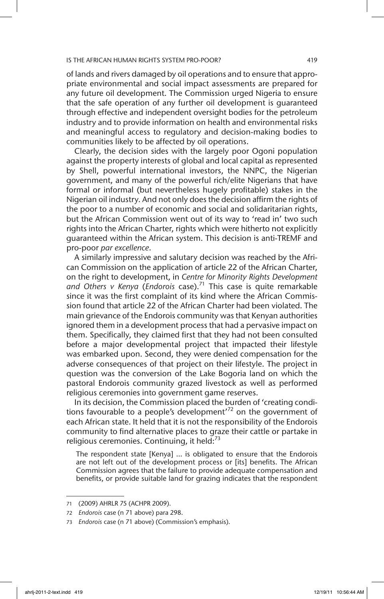of lands and rivers damaged by oil operations and to ensure that appropriate environmental and social impact assessments are prepared for any future oil development. The Commission urged Nigeria to ensure that the safe operation of any further oil development is guaranteed through effective and independent oversight bodies for the petroleum industry and to provide information on health and environmental risks and meaningful access to regulatory and decision-making bodies to communities likely to be affected by oil operations.

Clearly, the decision sides with the largely poor Ogoni population against the property interests of global and local capital as represented by Shell, powerful international investors, the NNPC, the Nigerian government, and many of the powerful rich/elite Nigerians that have formal or informal (but nevertheless hugely profitable) stakes in the Nigerian oil industry. And not only does the decision affirm the rights of the poor to a number of economic and social and solidaritarian rights, but the African Commission went out of its way to 'read in' two such rights into the African Charter, rights which were hitherto not explicitly guaranteed within the African system. This decision is anti-TREMF and pro-poor *par excellence*.

A similarly impressive and salutary decision was reached by the African Commission on the application of article 22 of the African Charter, on the right to development, in *Centre for Minority Rights Development and Others v Kenya* (*Endorois* case).71 This case is quite remarkable since it was the first complaint of its kind where the African Commission found that article 22 of the African Charter had been violated. The main grievance of the Endorois community was that Kenyan authorities ignored them in a development process that had a pervasive impact on them. Specifically, they claimed first that they had not been consulted before a major developmental project that impacted their lifestyle was embarked upon. Second, they were denied compensation for the adverse consequences of that project on their lifestyle. The project in question was the conversion of the Lake Bogoria land on which the pastoral Endorois community grazed livestock as well as performed religious ceremonies into government game reserves.

In its decision, the Commission placed the burden of 'creating conditions favourable to a people's development'<sup>72</sup> on the government of each African state. It held that it is not the responsibility of the Endorois community to find alternative places to graze their cattle or partake in religious ceremonies. Continuing, it held: $73$ 

The respondent state [Kenya] … is obligated to ensure that the Endorois are not left out of the development process or [its] benefits. The African Commission agrees that the failure to provide adequate compensation and benefits, or provide suitable land for grazing indicates that the respondent

<sup>71</sup> (2009) AHRLR 75 (ACHPR 2009).

<sup>72</sup> *Endorois* case (n 71 above) para 298.

<sup>73</sup> *Endorois* case (n 71 above) (Commission's emphasis).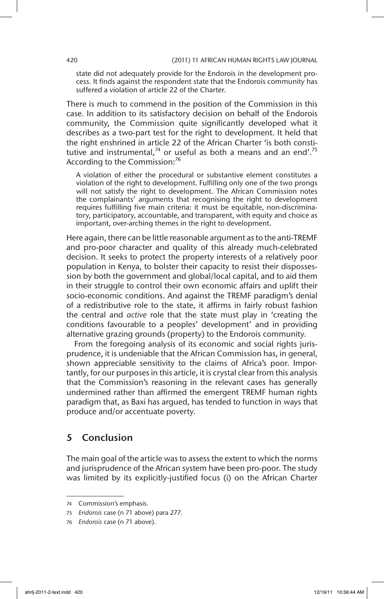state did not adequately provide for the Endorois in the development process. It finds against the respondent state that the Endorois community has suffered a violation of article 22 of the Charter.

There is much to commend in the position of the Commission in this case. In addition to its satisfactory decision on behalf of the Endorois community, the Commission quite significantly developed what it describes as a two-part test for the right to development. It held that the right enshrined in article 22 of the African Charter 'is both constitutive and instrumental,<sup>74</sup> or useful as both a means and an end'.<sup>75</sup> According to the Commission:<sup>76</sup>

A violation of either the procedural or substantive element constitutes a violation of the right to development. Fulfilling only one of the two prongs will not satisfy the right to development. The African Commission notes the complainants' arguments that recognising the right to development requires fulfilling five main criteria: it must be equitable, non-discriminatory, participatory, accountable, and transparent, with equity and choice as important, over-arching themes in the right to development.

Here again, there can be little reasonable argument as to the anti-TREMF and pro-poor character and quality of this already much-celebrated decision. It seeks to protect the property interests of a relatively poor population in Kenya, to bolster their capacity to resist their dispossession by both the government and global/local capital, and to aid them in their struggle to control their own economic affairs and uplift their socio-economic conditions. And against the TREMF paradigm's denial of a redistributive role to the state, it affirms in fairly robust fashion the central and *active* role that the state must play in 'creating the conditions favourable to a peoples' development' and in providing alternative grazing grounds (property) to the Endorois community.

From the foregoing analysis of its economic and social rights jurisprudence, it is undeniable that the African Commission has, in general, shown appreciable sensitivity to the claims of Africa's poor. Importantly, for our purposes in this article, it is crystal clear from this analysis that the Commission's reasoning in the relevant cases has generally undermined rather than affirmed the emergent TREMF human rights paradigm that, as Baxi has argued, has tended to function in ways that produce and/or accentuate poverty.

# 5 Conclusion

The main goal of the article was to assess the extent to which the norms and jurisprudence of the African system have been pro-poor. The study was limited by its explicitly-justified focus (i) on the African Charter

<sup>74</sup> Commission's emphasis.

<sup>75</sup> *Endorois* case (n 71 above) para 277.

<sup>76</sup> *Endorois* case (n 71 above).